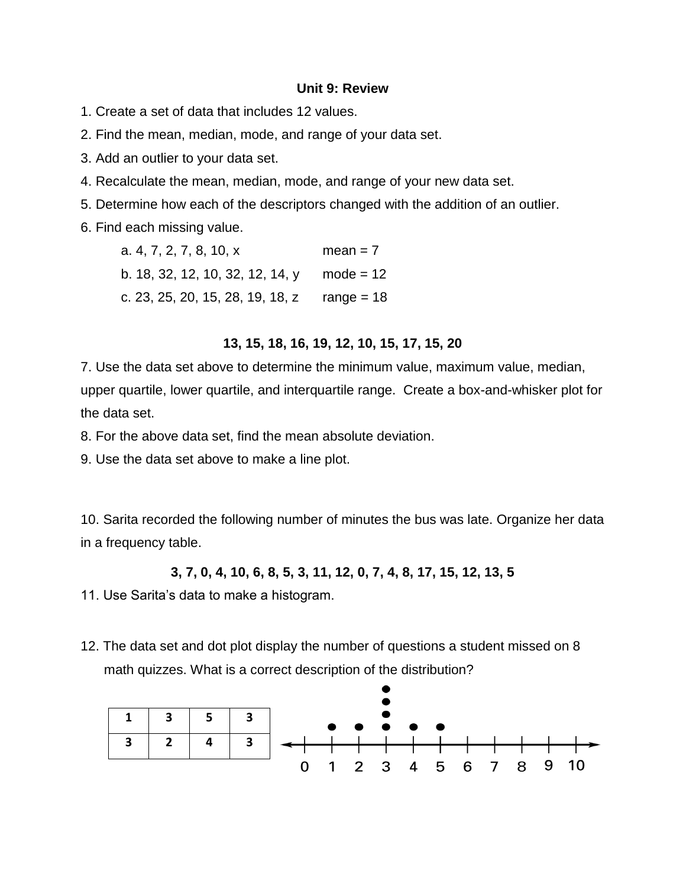## **Unit 9: Review**

1. Create a set of data that includes 12 values.

2. Find the mean, median, mode, and range of your data set.

3. Add an outlier to your data set.

4. Recalculate the mean, median, mode, and range of your new data set.

5. Determine how each of the descriptors changed with the addition of an outlier.

6. Find each missing value.

| a. 4, 7, 2, 7, 8, 10, x                     | $mean = 7$  |
|---------------------------------------------|-------------|
| b. 18, 32, 12, 10, 32, 12, 14, y            | $mode = 12$ |
| c. 23, 25, 20, 15, 28, 19, 18, z range = 18 |             |

## **13, 15, 18, 16, 19, 12, 10, 15, 17, 15, 20**

7. Use the data set above to determine the minimum value, maximum value, median, upper quartile, lower quartile, and interquartile range. Create a box-and-whisker plot for the data set.

8. For the above data set, find the mean absolute deviation.

9. Use the data set above to make a line plot.

10. Sarita recorded the following number of minutes the bus was late. Organize her data in a frequency table.

**3, 7, 0, 4, 10, 6, 8, 5, 3, 11, 12, 0, 7, 4, 8, 17, 15, 12, 13, 5**

11. Use Sarita's data to make a histogram.

12. The data set and dot plot display the number of questions a student missed on 8 math quizzes. What is a correct description of the distribution?